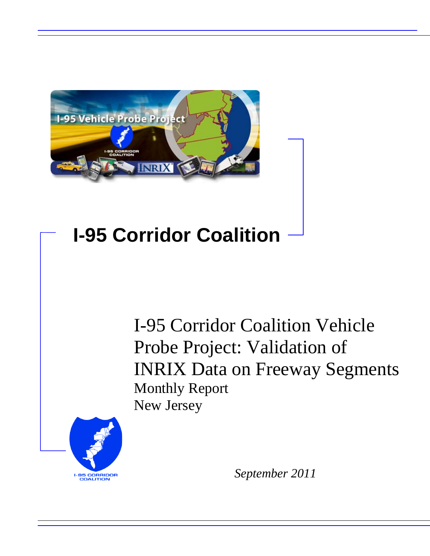

# **I-95 Corridor Coalition**

I-95 Corridor Coalition Vehicle Probe Project: Validation of INRIX Data on Freeway Segments Monthly Report New Jersey



*September 2011*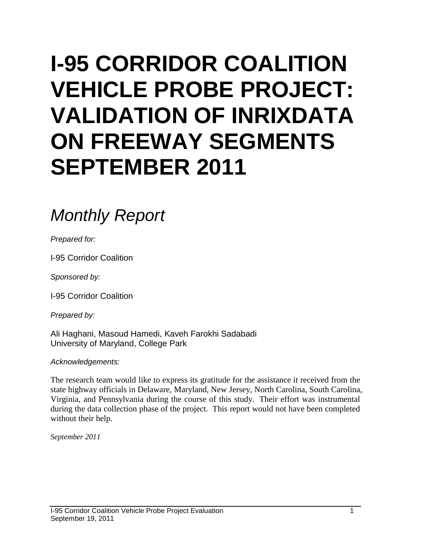# **I-95 CORRIDOR COALITION VEHICLE PROBE PROJECT: VALIDATION OF INRIXDATA ON FREEWAY SEGMENTS SEPTEMBER 2011**

# *Monthly Report*

*Prepared for:*

I-95 Corridor Coalition

*Sponsored by:*

I-95 Corridor Coalition

*Prepared by:*

Ali Haghani, Masoud Hamedi, Kaveh Farokhi Sadabadi University of Maryland, College Park

*Acknowledgements:*

The research team would like to express its gratitude for the assistance it received from the state highway officials in Delaware, Maryland, New Jersey, North Carolina, South Carolina, Virginia, and Pennsylvania during the course of this study. Their effort was instrumental during the data collection phase of the project. This report would not have been completed without their help.

*September 2011*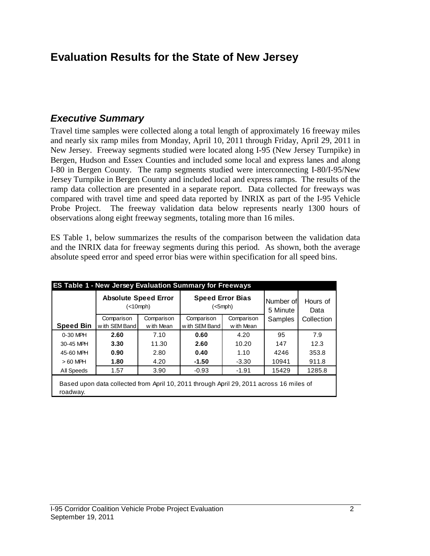# **Evaluation Results for the State of New Jersey**

### *Executive Summary*

Travel time samples were collected along a total length of approximately 16 freeway miles and nearly six ramp miles from Monday, April 10, 2011 through Friday, April 29, 2011 in New Jersey. Freeway segments studied were located along I-95 (New Jersey Turnpike) in Bergen, Hudson and Essex Counties and included some local and express lanes and along I-80 in Bergen County. The ramp segments studied were interconnecting I-80/I-95/New Jersey Turnpike in Bergen County and included local and express ramps. The results of the ramp data collection are presented in a separate report. Data collected for freeways was compared with travel time and speed data reported by INRIX as part of the I-95 Vehicle Probe Project. The freeway validation data below represents nearly 1300 hours of observations along eight freeway segments, totaling more than 16 miles.

ES Table 1, below summarizes the results of the comparison between the validation data and the INRIX data for freeway segments during this period. As shown, both the average absolute speed error and speed error bias were within specification for all speed bins.

|                  | <b>Absolute Speed Error</b><br>(<10 mph)                                                |                              |               | <b>Speed Error Bias</b><br>$(<5$ mph $)$ | Number of<br>5 Minute | Hours of<br>Data |  |
|------------------|-----------------------------------------------------------------------------------------|------------------------------|---------------|------------------------------------------|-----------------------|------------------|--|
|                  | Comparison                                                                              | Comparison                   | Comparison    | Comparison                               | Samples               | Collection       |  |
| <b>Speed Bin</b> | w ith SEM Band                                                                          | w ith SEM Band<br>w ith Mean |               | w ith Mean                               |                       |                  |  |
| 0-30 MPH         | 7.10<br>2.60                                                                            |                              | 0.60          | 4.20                                     | 95                    | 7.9              |  |
| 30-45 MPH        | 3.30                                                                                    | 11.30                        | 2.60<br>10.20 |                                          | 147                   | 12.3             |  |
| 45-60 MPH        | 0.90                                                                                    | 2.80                         | 0.40          | 1.10                                     |                       | 353.8            |  |
| $>60$ MPH        | 1.80                                                                                    | 4.20                         | $-1.50$       | $-3.30$                                  | 10941                 | 911.8            |  |
| All Speeds       | 1.57                                                                                    | 3.90                         | $-0.93$       | $-1.91$                                  | 15429                 | 1285.8           |  |
| roadway.         | Based upon data collected from April 10, 2011 through April 29, 2011 across 16 miles of |                              |               |                                          |                       |                  |  |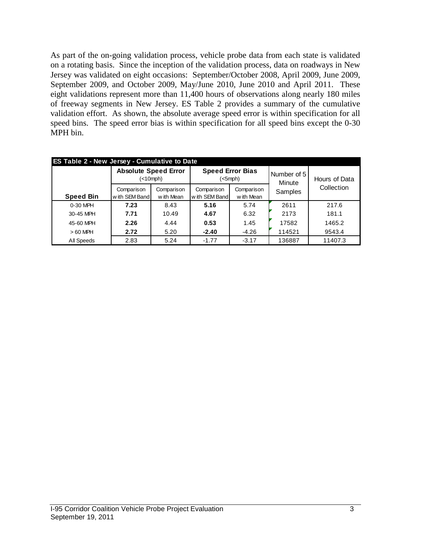As part of the on-going validation process, vehicle probe data from each state is validated on a rotating basis. Since the inception of the validation process, data on roadways in New Jersey was validated on eight occasions: September/October 2008, April 2009, June 2009, September 2009, and October 2009, May/June 2010, June 2010 and April 2011. These eight validations represent more than 11,400 hours of observations along nearly 180 miles of freeway segments in New Jersey. ES Table 2 provides a summary of the cumulative validation effort. As shown, the absolute average speed error is within specification for all speed bins. The speed error bias is within specification for all speed bins except the 0-30 MPH bin.

|                  | <b>ES Table 2 - New Jersey - Cumulative to Date</b>     |          |                             |                          |                       |               |  |  |  |  |  |  |  |
|------------------|---------------------------------------------------------|----------|-----------------------------|--------------------------|-----------------------|---------------|--|--|--|--|--|--|--|
|                  | <b>Absolute Speed Error</b>                             | (<10mph) | <b>Speed Error Bias</b>     | (<5mph)                  | Number of 5<br>Minute | Hours of Data |  |  |  |  |  |  |  |
| <b>Speed Bin</b> | Comparison<br>Comparison<br>with SEM Band<br>w ith Mean |          | Comparison<br>with SEM Band | Comparison<br>w ith Mean | Samples               | Collection    |  |  |  |  |  |  |  |
| 0-30 MPH         | 7.23                                                    | 8.43     | 5.16                        | 5.74                     | 2611                  | 217.6         |  |  |  |  |  |  |  |
| 30-45 MPH        | 7.71                                                    | 10.49    | 6.32<br>4.67                |                          | 2173                  | 181.1         |  |  |  |  |  |  |  |
| 45-60 MPH        | 2.26                                                    | 4.44     | 0.53                        | 1.45                     | 17582                 | 1465.2        |  |  |  |  |  |  |  |
| $>60$ MPH        | 2.72<br>5.20                                            |          | $-2.40$                     | $-4.26$                  |                       | 9543.4        |  |  |  |  |  |  |  |
| All Speeds       | 2.83                                                    | 5.24     | $-1.77$                     | $-3.17$                  | 136887                | 11407.3       |  |  |  |  |  |  |  |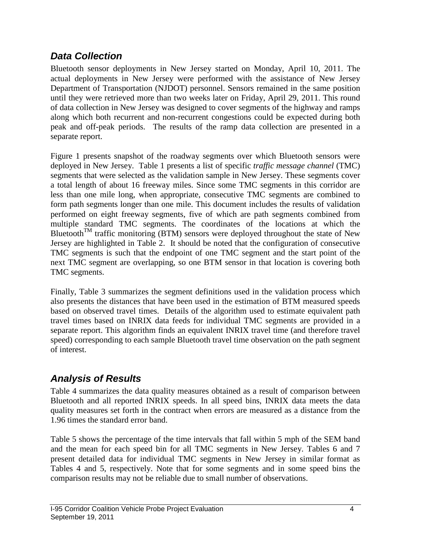## *Data Collection*

Bluetooth sensor deployments in New Jersey started on Monday, April 10, 2011. The actual deployments in New Jersey were performed with the assistance of New Jersey Department of Transportation (NJDOT) personnel. Sensors remained in the same position until they were retrieved more than two weeks later on Friday, April 29, 2011. This round of data collection in New Jersey was designed to cover segments of the highway and ramps along which both recurrent and non-recurrent congestions could be expected during both peak and off-peak periods. The results of the ramp data collection are presented in a separate report.

Figure 1 presents snapshot of the roadway segments over which Bluetooth sensors were deployed in New Jersey. Table 1 presents a list of specific *traffic message channel* (TMC) segments that were selected as the validation sample in New Jersey. These segments cover a total length of about 16 freeway miles. Since some TMC segments in this corridor are less than one mile long, when appropriate, consecutive TMC segments are combined to form path segments longer than one mile. This document includes the results of validation performed on eight freeway segments, five of which are path segments combined from multiple standard TMC segments. The coordinates of the locations at which the Bluetooth<sup>TM</sup> traffic monitoring (BTM) sensors were deployed throughout the state of New Jersey are highlighted in Table 2. It should be noted that the configuration of consecutive TMC segments is such that the endpoint of one TMC segment and the start point of the next TMC segment are overlapping, so one BTM sensor in that location is covering both TMC segments.

Finally, Table 3 summarizes the segment definitions used in the validation process which also presents the distances that have been used in the estimation of BTM measured speeds based on observed travel times. Details of the algorithm used to estimate equivalent path travel times based on INRIX data feeds for individual TMC segments are provided in a separate report. This algorithm finds an equivalent INRIX travel time (and therefore travel speed) corresponding to each sample Bluetooth travel time observation on the path segment of interest.

# *Analysis of Results*

Table 4 summarizes the data quality measures obtained as a result of comparison between Bluetooth and all reported INRIX speeds. In all speed bins, INRIX data meets the data quality measures set forth in the contract when errors are measured as a distance from the 1.96 times the standard error band.

Table 5 shows the percentage of the time intervals that fall within 5 mph of the SEM band and the mean for each speed bin for all TMC segments in New Jersey. Tables 6 and 7 present detailed data for individual TMC segments in New Jersey in similar format as Tables 4 and 5, respectively. Note that for some segments and in some speed bins the comparison results may not be reliable due to small number of observations.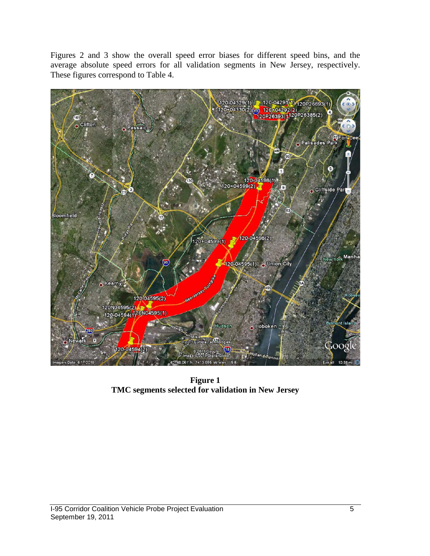Figures 2 and 3 show the overall speed error biases for different speed bins, and the average absolute speed errors for all validation segments in New Jersey, respectively. These figures correspond to Table 4.



**Figure 1 TMC segments selected for validation in New Jersey**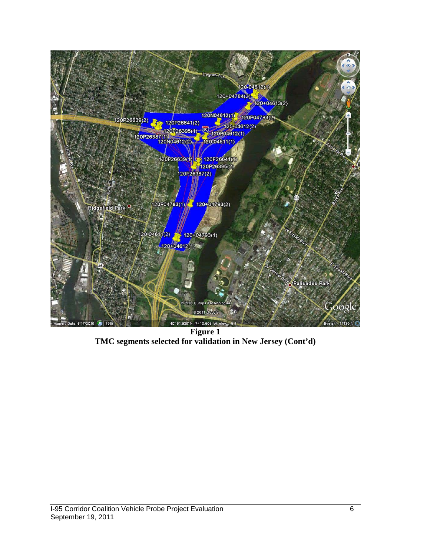

**Figure 1 TMC segments selected for validation in New Jersey (Cont'd)**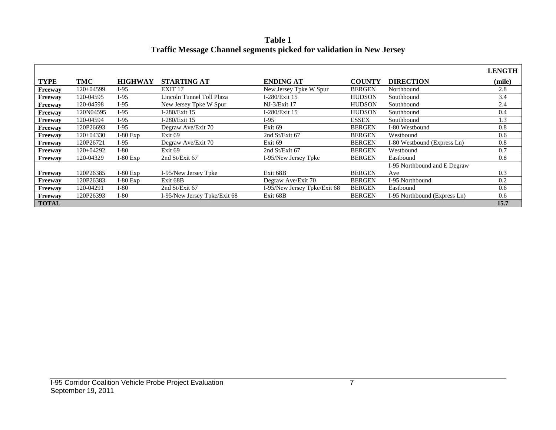**Table 1 Traffic Message Channel segments picked for validation in New Jersey**

|                |             |                |                              |                              |               |                              | <b>LENGTH</b> |
|----------------|-------------|----------------|------------------------------|------------------------------|---------------|------------------------------|---------------|
| <b>TYPE</b>    | TMC         | <b>HIGHWAY</b> | <b>STARTING AT</b>           | <b>ENDING AT</b>             | <b>COUNTY</b> | <b>DIRECTION</b>             | (mile)        |
| Freeway        | 120+04599   | $I-95$         | EXIT <sub>17</sub>           | New Jersey Tpke W Spur       | <b>BERGEN</b> | Northbound                   | 2.8           |
| Freeway        | 120-04595   | $I-95$         | Lincoln Tunnel Toll Plaza    | I-280/Exit 15                | <b>HUDSON</b> | Southbound                   | 3.4           |
| <b>Freeway</b> | 120-04598   | $I-95$         | New Jersey Tpke W Spur       | NJ-3/Exit 17                 | <b>HUDSON</b> | Southbound                   | 2.4           |
| Freeway        | 120N04595   | $I-95$         | I-280/Exit 15                | I-280/Exit 15                | <b>HUDSON</b> | Southbound                   | 0.4           |
| Freeway        | 120-04594   | $I-95$         | I-280/Exit 15                | $I-95$                       | <b>ESSEX</b>  | Southbound                   | 1.3           |
| Freeway        | 120P26693   | $I-95$         | Degraw Ave/Exit 70           | Exit 69                      | <b>BERGEN</b> | I-80 Westbound               | 0.8           |
| Freeway        | $120+04330$ | $I-80$ Exp     | Exit 69                      | 2nd St/Exit 67               | <b>BERGEN</b> | Westbound                    | 0.6           |
| Freeway        | 120P26721   | I-95           | Degraw Ave/Exit 70           | Exit 69                      | <b>BERGEN</b> | I-80 Westbound (Express Ln)  | 0.8           |
| Freeway        | 120+04292   | $I-80$         | Exit <sub>69</sub>           | 2nd St/Exit 67               | <b>BERGEN</b> | Westbound                    | 0.7           |
| Freeway        | 120-04329   | $I-80$ Exp     | 2nd St/Exit 67               | I-95/New Jersey Tpke         | <b>BERGEN</b> | Eastbound                    | 0.8           |
|                |             |                |                              |                              |               | I-95 Northbound and E Degraw |               |
| Freeway        | 120P26385   | $I-80$ Exp     | I-95/New Jersey Tpke         | Exit 68B                     | <b>BERGEN</b> | Ave                          | 0.3           |
| Freeway        | 120P26383   | $I-80$ Exp     | Exit 68B                     | Degraw Ave/Exit 70           | <b>BERGEN</b> | I-95 Northbound              | 0.2           |
| Freeway        | 120-04291   | I-80           | 2nd St/Exit 67               | I-95/New Jersey Tpke/Exit 68 | <b>BERGEN</b> | Eastbound                    | 0.6           |
| Freeway        | 120P26393   | $I-80$         | I-95/New Jersey Tpke/Exit 68 | Exit 68B                     | <b>BERGEN</b> | I-95 Northbound (Express Ln) | 0.6           |
| <b>TOTAL</b>   |             |                |                              |                              |               |                              | 15.7          |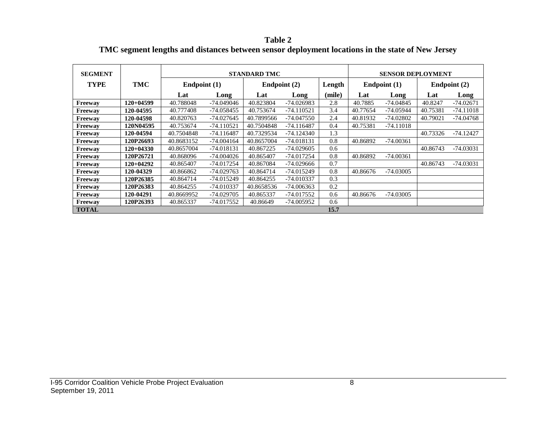**Table 2 TMC segment lengths and distances between sensor deployment locations in the state of New Jersey**

| <b>SEGMENT</b> |             |            |              | <b>STANDARD TMC</b> |                        |        | <b>SENSOR DEPLOYMENT</b> |             |              |             |  |
|----------------|-------------|------------|--------------|---------------------|------------------------|--------|--------------------------|-------------|--------------|-------------|--|
| <b>TYPE</b>    | TMC         |            | Endpoint (1) |                     | Endpoint (2)<br>Length |        | Endpoint $(1)$           |             | Endpoint (2) |             |  |
|                |             | Lat        | Long         | Lat                 | Long                   | (mile) | Lat                      | Long        | Lat          | Long        |  |
| Freeway        | $120+04599$ | 40.788048  | $-74.049046$ | 40.823804           | $-74.026983$           | 2.8    | 40.7885                  | $-74.04845$ | 40.8247      | $-74.02671$ |  |
| Freeway        | 120-04595   | 40.777408  | -74.058455   | 40.753674           | $-74.110521$           | 3.4    | 40.77654                 | $-74.05944$ | 40.75381     | $-74.11018$ |  |
| Freeway        | 120-04598   | 40.820763  | $-74.027645$ | 40.7899566          | $-74.047550$           | 2.4    | 40.81932                 | $-74.02802$ | 40.79021     | $-74.04768$ |  |
| Freeway        | 120N04595   | 40.753674  | $-74.110521$ | 40.7504848          | $-74.116487$           | 0.4    | 40.75381                 | $-74.11018$ |              |             |  |
| Freeway        | 120-04594   | 40.7504848 | $-74.116487$ | 40.7329534          | $-74.124340$           | 1.3    |                          |             | 40.73326     | $-74.12427$ |  |
| Freeway        | 120P26693   | 40.8683152 | $-74.004164$ | 40.8657004          | $-74.018131$           | 0.8    | 40.86892                 | $-74.00361$ |              |             |  |
| Freeway        | $120+04330$ | 40.8657004 | $-74.018131$ | 40.867225           | $-74.029605$           | 0.6    |                          |             | 40.86743     | $-74.03031$ |  |
| Freeway        | 120P26721   | 40.868096  | $-74.004026$ | 40.865407           | -74.017254             | 0.8    | 40.86892                 | $-74.00361$ |              |             |  |
| Freeway        | $120+04292$ | 40.865407  | -74.017254   | 40.867084           | $-74.029666$           | 0.7    |                          |             | 40.86743     | $-74.03031$ |  |
| Freeway        | 120-04329   | 40.866862  | $-74.029763$ | 40.864714           | -74.015249             | 0.8    | 40.86676                 | $-74.03005$ |              |             |  |
| Freeway        | 120P26385   | 40.864714  | -74.015249   | 40.864255           | -74.010337             | 0.3    |                          |             |              |             |  |
| Freeway        | 120P26383   | 40.864255  | -74.010337   | 40.8658536          | $-74.006363$           | 0.2    |                          |             |              |             |  |
| Freeway        | 120-04291   | 40.8669952 | -74.029705   | 40.865337           | -74.017552             | 0.6    | 40.86676                 | $-74.03005$ |              |             |  |
| Freeway        | 120P26393   | 40.865337  | -74.017552   | 40.86649            | -74.005952             | 0.6    |                          |             |              |             |  |
| <b>TOTAL</b>   |             |            |              |                     |                        | 15.7   |                          |             |              |             |  |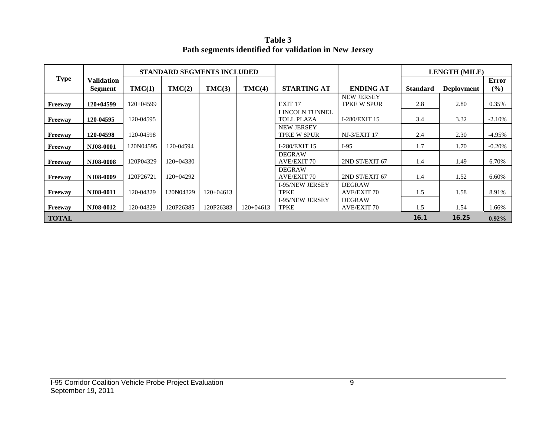**Table 3 Path segments identified for validation in New Jersey**

|              |                              | <b>STANDARD SEGMENTS INCLUDED</b> |             |             |             |                                         |                                         | <b>LENGTH (MILE)</b> |                   |              |
|--------------|------------------------------|-----------------------------------|-------------|-------------|-------------|-----------------------------------------|-----------------------------------------|----------------------|-------------------|--------------|
| <b>Type</b>  | <b>Validation</b><br>Segment | TMC(1)                            | TMC(2)      | TMC(3)      | TMC(4)      | <b>STARTING AT</b>                      | <b>ENDING AT</b>                        | <b>Standard</b>      | <b>Deployment</b> | Error<br>(%) |
| Freeway      | $120+04599$                  | 120+04599                         |             |             |             | EXIT <sub>17</sub>                      | <b>NEW JERSEY</b><br><b>TPKE W SPUR</b> | 2.8                  | 2.80              | 0.35%        |
| Freeway      | 120-04595                    | 120-04595                         |             |             |             | LINCOLN TUNNEL<br><b>TOLL PLAZA</b>     | I-280/EXIT 15                           | 3.4                  | 3.32              | $-2.10%$     |
| Freeway      | 120-04598                    | 120-04598                         |             |             |             | <b>NEW JERSEY</b><br><b>TPKE W SPUR</b> | NJ-3/EXIT 17                            | 2.4                  | 2.30              | $-4.95%$     |
| Freeway      | NJ08-0001                    | 120N04595                         | 120-04594   |             |             | I-280/EXIT 15                           | $I-95$                                  | 1.7                  | 1.70              | $-0.20%$     |
| Freeway      | N.I08-0008                   | 120P04329                         | $120+04330$ |             |             | <b>DEGRAW</b><br><b>AVE/EXIT 70</b>     | 2ND ST/EXIT 67                          | 1.4                  | 1.49              | 6.70%        |
| Freeway      | NJ08-0009                    | 120P26721                         | 120+04292   |             |             | <b>DEGRAW</b><br><b>AVE/EXIT 70</b>     | 2ND ST/EXIT 67                          | 1.4                  | 1.52              | 6.60%        |
| Freeway      | NJ08-0011                    | 120-04329                         | 120N04329   | $120+04613$ |             | <b>I-95/NEW JERSEY</b><br><b>TPKE</b>   | <b>DEGRAW</b><br><b>AVE/EXIT 70</b>     | 1.5                  | 1.58              | 8.91%        |
| Freeway      | NJ08-0012                    | 120-04329                         | 120P26385   | 120P26383   | $120+04613$ | <b>I-95/NEW JERSEY</b><br><b>TPKE</b>   | <b>DEGRAW</b><br><b>AVE/EXIT 70</b>     | 1.5                  | 1.54              | 1.66%        |
| <b>TOTAL</b> |                              |                                   |             |             |             |                                         |                                         | 16.1                 | 16.25             | $0.92\%$     |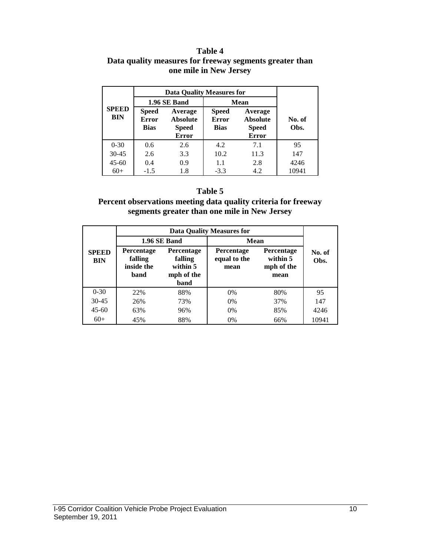#### **Table 4 Data quality measures for freeway segments greater than one mile in New Jersey**

|                            | <b>Data Quality Measures for</b>     |                                                            |                                             |                                                            |                |
|----------------------------|--------------------------------------|------------------------------------------------------------|---------------------------------------------|------------------------------------------------------------|----------------|
| <b>SPEED</b><br><b>BIN</b> |                                      | 1.96 SE Band                                               | <b>Mean</b>                                 |                                                            |                |
|                            | <b>Speed</b><br><b>Error</b><br>Bias | Average<br><b>Absolute</b><br><b>Speed</b><br><b>Error</b> | <b>Speed</b><br><b>Error</b><br><b>Bias</b> | Average<br><b>Absolute</b><br><b>Speed</b><br><b>Error</b> | No. of<br>Obs. |
| $0 - 30$                   | 0.6                                  | 2.6                                                        | 4.2                                         | 7.1                                                        | 95             |
| $30 - 45$                  | 2.6                                  | 3.3                                                        | 10.2                                        | 11.3                                                       | 147            |
| $45 - 60$                  | 0.4                                  | 0.9                                                        | 1.1                                         | 2.8                                                        | 4246           |
| $60+$                      | $-1.5$                               | 1.8                                                        | $-3.3$                                      | 4.2                                                        | 10941          |

### **Table 5**

#### **Percent observations meeting data quality criteria for freeway segments greater than one mile in New Jersey**

|                            |                                                    | 1.96 SE Band                                            | Mean                                      |                                              |                |  |
|----------------------------|----------------------------------------------------|---------------------------------------------------------|-------------------------------------------|----------------------------------------------|----------------|--|
| <b>SPEED</b><br><b>BIN</b> | <b>Percentage</b><br>falling<br>inside the<br>band | Percentage<br>falling<br>within 5<br>mph of the<br>band | <b>Percentage</b><br>equal to the<br>mean | Percentage<br>within 5<br>mph of the<br>mean | No. of<br>Obs. |  |
| $0 - 30$                   | 22%                                                | 88%                                                     | $0\%$                                     | 80%                                          | 95             |  |
| $30 - 45$                  | 26%                                                | 73%                                                     | $0\%$                                     | 37%                                          | 147            |  |
| $45 - 60$                  | 63%                                                | 96%                                                     | $0\%$                                     | 85%                                          | 4246           |  |
| $60+$                      | 45%                                                | 88%                                                     | $0\%$                                     | 66%                                          | 10941          |  |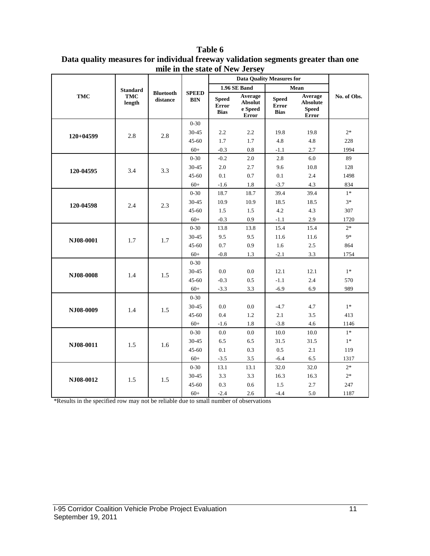|             |                      |                              |                            |                                             | <b>Data Quality Measures for</b>       |                                      |                                              |             |
|-------------|----------------------|------------------------------|----------------------------|---------------------------------------------|----------------------------------------|--------------------------------------|----------------------------------------------|-------------|
|             | <b>Standard</b>      |                              |                            |                                             | 1.96 SE Band                           |                                      | Mean                                         |             |
| TMC         | <b>TMC</b><br>length | <b>Bluetooth</b><br>distance | <b>SPEED</b><br><b>BIN</b> | <b>Speed</b><br><b>Error</b><br><b>Bias</b> | Average<br>Absolut<br>e Speed<br>Error | <b>Speed</b><br>Error<br><b>Bias</b> | Average<br>Absolute<br><b>Speed</b><br>Error | No. of Obs. |
|             |                      |                              | $0 - 30$                   |                                             |                                        |                                      |                                              |             |
| $120+04599$ | 2.8                  | 2.8                          | 30-45                      | 2.2                                         | 2.2                                    | 19.8                                 | 19.8                                         | $2*$        |
|             |                      |                              | $45 - 60$                  | 1.7                                         | 1.7                                    | 4.8                                  | 4.8                                          | 228         |
|             |                      |                              | $60+$                      | $-0.3$                                      | 0.8                                    | $-1.1$                               | 2.7                                          | 1994        |
|             |                      |                              | $0 - 30$                   | $-0.2$                                      | 2.0                                    | 2.8                                  | 6.0                                          | 89          |
| 120-04595   | 3.4                  | 3.3                          | 30-45                      | 2.0                                         | 2.7                                    | 9.6                                  | 10.8                                         | 128         |
|             |                      |                              | $45 - 60$                  | 0.1                                         | 0.7                                    | 0.1                                  | 2.4                                          | 1498        |
|             |                      |                              | $60+$                      | $-1.6$                                      | 1.8                                    | $-3.7$                               | 4.3                                          | 834         |
|             |                      |                              | $0 - 30$                   | 18.7                                        | 18.7                                   | 39.4                                 | 39.4                                         | $1*$        |
| 120-04598   | 2.4                  | 2.3                          | 30-45                      | 10.9                                        | 10.9                                   | 18.5                                 | 18.5                                         | $3*$        |
|             |                      |                              | $45 - 60$                  | 1.5                                         | 1.5                                    | 4.2                                  | 4.3                                          | 307         |
|             |                      |                              | $60+$                      | $-0.3$                                      | 0.9                                    | $-1.1$                               | 2.9                                          | 1720        |
| NJ08-0001   |                      | 1.7                          | $0 - 30$                   | 13.8                                        | 13.8                                   | 15.4                                 | 15.4                                         | $2*$        |
|             | 1.7                  |                              | 30-45                      | 9.5                                         | 9.5                                    | 11.6                                 | 11.6                                         | $9*$        |
|             |                      |                              | 45-60                      | 0.7                                         | 0.9                                    | 1.6                                  | 2.5                                          | 864         |
|             |                      |                              | $60+$                      | $-0.8$                                      | 1.3                                    | $-2.1$                               | 3.3                                          | 1754        |
|             |                      |                              | $0 - 30$                   |                                             |                                        |                                      |                                              |             |
| NJ08-0008   | 1.4                  | 1.5                          | 30-45                      | 0.0                                         | $0.0\,$                                | 12.1                                 | 12.1                                         | $1*$        |
|             |                      |                              | 45-60                      | $-0.3$                                      | $0.5\,$                                | $-1.1$                               | 2.4                                          | 570         |
|             |                      |                              | $60+$                      | $-3.3$                                      | 3.3                                    | $-6.9$                               | 6.9                                          | 989         |
|             |                      |                              | $0 - 30$                   |                                             |                                        |                                      |                                              |             |
| NJ08-0009   | 1.4                  | 1.5                          | 30-45                      | 0.0                                         | 0.0                                    | $-4.7$                               | 4.7                                          | $1*$        |
|             |                      |                              | 45-60                      | 0.4                                         | 1.2                                    | 2.1                                  | 3.5                                          | 413         |
|             |                      |                              | $60+$                      | $-1.6$                                      | 1.8                                    | $-3.8$                               | 4.6                                          | 1146        |
|             |                      |                              | $0 - 30$                   | 0.0                                         | 0.0                                    | 10.0                                 | 10.0                                         | $1*$        |
| NJ08-0011   | 1.5                  | 1.6                          | 30-45                      | 6.5                                         | 6.5                                    | 31.5                                 | 31.5                                         | $1*$        |
|             |                      |                              | 45-60                      | 0.1                                         | 0.3                                    | 0.5                                  | 2.1                                          | 119         |
|             |                      |                              | $60+$                      | $-3.5$                                      | 3.5                                    | $-6.4$                               | 6.5                                          | 1317        |
|             |                      |                              | $0 - 30$                   | 13.1                                        | 13.1                                   | 32.0                                 | 32.0                                         | $2*$        |
| NJ08-0012   | 1.5                  | 1.5                          | 30-45                      | 3.3                                         | 3.3                                    | 16.3                                 | 16.3                                         | $2*$        |
|             |                      |                              | $45 - 60$                  | 0.3                                         | 0.6                                    | 1.5                                  | 2.7                                          | 247         |
|             |                      |                              | $60+$                      | $-2.4$                                      | 2.6                                    | $-4.4$                               | 5.0                                          | 1187        |

**Table 6 Data quality measures for individual freeway validation segments greater than one mile in the state of New Jersey**

\*Results in the specified row may not be reliable due to small number of observations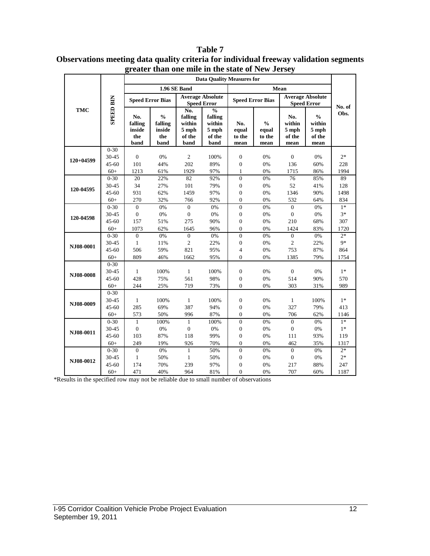|             |                  | one mine in the state of Tww<br><b>Data Quality Measures for</b> |                                                   |                                                |                                                |                                |                                                               |                                               |                                                    |        |
|-------------|------------------|------------------------------------------------------------------|---------------------------------------------------|------------------------------------------------|------------------------------------------------|--------------------------------|---------------------------------------------------------------|-----------------------------------------------|----------------------------------------------------|--------|
|             |                  |                                                                  |                                                   |                                                |                                                |                                |                                                               | Mean                                          |                                                    |        |
|             |                  |                                                                  |                                                   | 1.96 SE Band                                   |                                                |                                |                                                               |                                               |                                                    |        |
|             |                  |                                                                  | <b>Speed Error Bias</b>                           |                                                | <b>Average Absolute</b><br><b>Speed Error</b>  |                                | <b>Speed Error Bias</b>                                       | <b>Average Absolute</b><br><b>Speed Error</b> |                                                    |        |
| <b>TMC</b>  |                  |                                                                  |                                                   | No.                                            | $\frac{0}{0}$                                  |                                |                                                               |                                               |                                                    | No. of |
|             | <b>SPEED BIN</b> | No.<br>falling<br>inside<br>the<br>band                          | $\frac{0}{0}$<br>falling<br>inside<br>the<br>band | falling<br>within<br>$5$ mph<br>of the<br>band | falling<br>within<br>$5$ mph<br>of the<br>band | No.<br>equal<br>to the<br>mean | $\mathbf{0}_{\mathbf{0}}^{\prime}$<br>equal<br>to the<br>mean | No.<br>within<br>5 mph<br>of the<br>mean      | $\frac{0}{0}$<br>within<br>5 mph<br>of the<br>mean | Obs.   |
|             | $0 - 30$         |                                                                  |                                                   |                                                |                                                |                                |                                                               |                                               |                                                    |        |
| $120+04599$ | 30-45            | $\boldsymbol{0}$                                                 | $0\%$                                             | $\sqrt{2}$                                     | 100%                                           | $\boldsymbol{0}$               | 0%                                                            | $\boldsymbol{0}$                              | $0\%$                                              | $2*$   |
|             | $45 - 60$        | 101                                                              | 44%                                               | 202                                            | 89%                                            | $\boldsymbol{0}$               | 0%                                                            | 136                                           | 60%                                                | 228    |
|             | $60+$            | 1213                                                             | 61%                                               | 1929                                           | 97%                                            | $\mathbf{1}$                   | 0%                                                            | 1715                                          | 86%                                                | 1994   |
|             | $0 - 30$         | 20                                                               | 22%                                               | 82                                             | 92%                                            | $\overline{0}$                 | 0%                                                            | 76                                            | 85%                                                | 89     |
| 120-04595   | 30-45            | 34                                                               | 27%                                               | 101                                            | 79%                                            | $\boldsymbol{0}$               | 0%                                                            | 52                                            | 41%                                                | 128    |
|             | $45 - 60$        | 931                                                              | 62%                                               | 1459                                           | 97%                                            | $\boldsymbol{0}$               | 0%                                                            | 1346                                          | 90%                                                | 1498   |
|             | $60+$            | 270                                                              | 32%                                               | 766                                            | 92%                                            | $\boldsymbol{0}$               | 0%                                                            | 532                                           | 64%                                                | 834    |
|             | $0 - 30$         | $\overline{0}$                                                   | 0%                                                | $\overline{0}$                                 | 0%                                             | $\overline{0}$                 | 0%                                                            | $\overline{0}$                                | 0%                                                 | $1*$   |
| 120-04598   | $30 - 45$        | $\boldsymbol{0}$                                                 | 0%                                                | $\boldsymbol{0}$                               | 0%                                             | $\boldsymbol{0}$               | 0%                                                            | $\overline{0}$                                | 0%                                                 | $3*$   |
|             | $45 - 60$        | 157                                                              | 51%                                               | 275                                            | 90%                                            | $\boldsymbol{0}$               | 0%                                                            | 210                                           | 68%                                                | 307    |
|             | $60+$            | 1073                                                             | 62%                                               | 1645                                           | 96%                                            | $\overline{0}$                 | 0%                                                            | 1424                                          | 83%                                                | 1720   |
|             | $0 - 30$         | $\overline{0}$                                                   | 0%                                                | $\overline{0}$                                 | 0%                                             | $\overline{0}$                 | 0%                                                            | $\overline{0}$                                | 0%                                                 | $2*$   |
| NJ08-0001   | 30-45            | $\mathbf{1}$                                                     | 11%                                               | $\overline{c}$                                 | 22%                                            | $\boldsymbol{0}$               | 0%                                                            | $\overline{2}$                                | 22%                                                | $9*$   |
|             | 45-60            | 506                                                              | 59%                                               | 821                                            | 95%                                            | $\overline{4}$                 | 0%                                                            | 753                                           | 87%                                                | 864    |
|             | $60+$            | 809                                                              | 46%                                               | 1662                                           | 95%                                            | $\Omega$                       | 0%                                                            | 1385                                          | 79%                                                | 1754   |
|             | $0 - 30$         |                                                                  |                                                   |                                                |                                                |                                |                                                               |                                               |                                                    |        |
| NJ08-0008   | 30-45            | $\mathbf{1}$                                                     | 100%                                              | $\mathbf{1}$                                   | 100%                                           | $\boldsymbol{0}$               | 0%                                                            | $\overline{0}$                                | 0%                                                 | $1*$   |
|             | $45 - 60$        | 428                                                              | 75%                                               | 561                                            | 98%                                            | $\boldsymbol{0}$               | 0%                                                            | 514                                           | 90%                                                | 570    |
|             | $60+$            | 244                                                              | 25%                                               | 719                                            | 73%                                            | $\overline{0}$                 | 0%                                                            | 303                                           | 31%                                                | 989    |
|             | $0 - 30$         |                                                                  |                                                   |                                                |                                                |                                |                                                               |                                               |                                                    |        |
| NJ08-0009   | 30-45            | $\mathbf{1}$                                                     | 100%                                              | $\mathbf{1}$                                   | 100%                                           | $\boldsymbol{0}$               | 0%                                                            | $\mathbf{1}$                                  | 100%                                               | $1*$   |
|             | $45 - 60$        | 285                                                              | 69%                                               | 387                                            | 94%                                            | $\boldsymbol{0}$               | 0%                                                            | 327                                           | 79%                                                | 413    |
|             | $60+$            | 573                                                              | 50%                                               | 996                                            | 87%                                            | $\overline{0}$                 | 0%                                                            | 706                                           | 62%                                                | 1146   |
|             | $0 - 30$         | $\mathbf{1}$                                                     | 100%                                              | $\mathbf{1}$                                   | 100%                                           | $\boldsymbol{0}$               | 0%                                                            | $\overline{0}$                                | 0%                                                 | $1*$   |
| NJ08-0011   | 30-45            | $\boldsymbol{0}$                                                 | 0%                                                | $\boldsymbol{0}$                               | 0%                                             | $\boldsymbol{0}$               | 0%                                                            | $\boldsymbol{0}$                              | 0%                                                 | $1*$   |
|             | $45 - 60$        | 103                                                              | 87%                                               | 118                                            | 99%                                            | $\boldsymbol{0}$               | 0%                                                            | 111                                           | 93%                                                | 119    |
|             | $60+$            | 249                                                              | 19%                                               | 926                                            | 70%                                            | $\boldsymbol{0}$               | 0%                                                            | 462                                           | 35%                                                | 1317   |
|             | $0 - 30$         | $\overline{0}$                                                   | 0%                                                | $\mathbf{1}$                                   | 50%                                            | $\boldsymbol{0}$               | 0%                                                            | $\overline{0}$                                | 0%                                                 | $2*$   |
| NJ08-0012   | 30-45            | $\mathbf{1}$                                                     | 50%                                               | $\mathbf{1}$                                   | 50%                                            | $\boldsymbol{0}$               | 0%                                                            | $\boldsymbol{0}$                              | $0\%$                                              | $2*$   |
|             | $45 - 60$        | 174                                                              | 70%                                               | 239                                            | 97%                                            | $\boldsymbol{0}$               | 0%                                                            | 217                                           | 88%                                                | 247    |
|             | $60+$            | 471                                                              | 40%                                               | 964                                            | 81%                                            | $\overline{0}$                 | 0%                                                            | 707                                           | 60%                                                | 1187   |

#### **Table 7 Observations meeting data quality criteria for individual freeway validation segments greater than one mile in the state of New Jersey**

\*Results in the specified row may not be reliable due to small number of observations